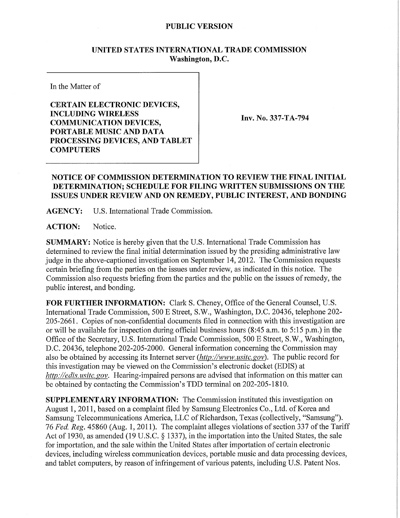## **PUBLIC VERSION**

## **UNITED STATES INTERNATIONAL TRADE COMMISSION Washington, D.C.**

In the Matter of

**CERTAIN ELECTRONIC DEVICES, INCLUDING WIRELES S COMMUNICATION DEVICES, PORTABLE MUSIC AND DATA PROCESSING DEVICES, AND TABLET COMPUTERS** 

**Inv. No. 337-TA-794** 

## **NOTICE OF COMMISSION DETERMINATION TO REVIEW THE FINAL INITIAL DETERMINATION; SCHEDULE FOR FILING WRITTEN SUBMISSIONS ON THE ISSUES UNDER REVIEW AND ON REMEDY, PUBLIC INTEREST, AND BONDING**

**AGENCY:** U.S. International Trade Commission.

**ACTION:** Notice.

**SUMMARY:** Notice is hereby given that the U.S. International Trade Commission has determined to review the final initial determination issued by the presiding administrative law judge in the above-captioned investigation on September 14, 2012. The Commission requests certain briefing from the parties on the issues under review, as indicated in this notice. The Commission also requests briefing from the parties and the public on the issues of remedy, the public interest, and bonding.

**FOR FURTHER INFORMATION:** Clark S. Cheney, Office of the General Counsel, U.S. International Trade Commission, 500 E Street, S.W., Washington, D.C. 20436, telephone 202- 205-2661. Copies of non-confidential documents filed in connection with this investigation are or will be available for inspection during official business hours (8:45 a.m. to 5:15 p.m.) in the Office of the Secretary, U.S. International Trade Commission, 500 E Street, S.W., Washington, D.C. 20436, telephone 202-205-2000. General information concerning the Commission may also be obtained by accessing its Internet server *(http://www. usitc. gov).* The public record for this investigation may be viewed on the Commission's electronic docket (EDIS) at *http://edis. usitc. gov.* Hearing-impaired persons are advised that information on this matter can be obtained by contacting the Commission's TDD terminal on 202-205-1810.

**SUPPLEMENTARY INFORMATION:** The Commission instituted this investigation on August 1, 2011, based on a complaint filed by Samsung Electronics Co., Ltd. of Korea and Samsung Telecommunications America, LLC of Richardson, Texas (collectively, "Samsung"). 76 *Fed. Reg.* 45860 (Aug. 1, 2011). The complaint alleges violations of section 337 of the Tariff Act of 1930, as amended (19 U.S.C. § 1337), in the importation into the United States, the sale for importation, and the sale within the United States after importation of certain electronic devices, including wireless communication devices, portable music and data processing devices, and tablet computers, by reason of infringement of various patents, including U.S. Patent Nos.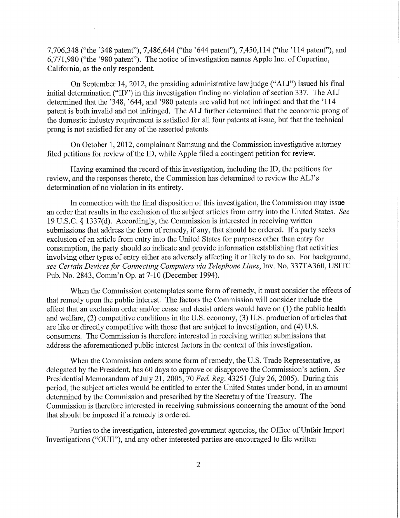7,706,348 ("the '348 patent"), 7,486,644 ("the '644 patent"), 7,450,114 ("the '114 patent"), and 6,771,980 ("the '980 patent"). The notice of investigation names Apple Inc. of Cupertino, California, as the only respondent.

On September 14, 2012, the presiding administrative law judge ("ALJ") issued his final initial determination ("ID") in this investigation finding no violation of section 337. The ALJ determined that the '348, '644, and '980 patents are valid but not infringed and that the '114 patent is both invalid and not infringed. The ALJ further determined that the economic prong of the domestic industry requirement is satisfied for all four patents at issue, but that the technical prong is not satisfied for any of the asserted patents.

On October 1, 2012, complainant Samsung and the Commission investigative attorney filed petitions for review of the ID, while Apple filed a contingent petition for review.

Having examined the record of this investigation, including the ID, the petitions for review, and the responses thereto, the Commission has determined to review the ALJ's determination of no violation in its entirety.

In connection with the final disposition of this investigation, the Commission may issue an order that results in the exclusion of the subject articles from entry into the United States. *See*  19 U.S.C. § 1337(d). Accordingly, the Commission is interested in receiving written submissions that address the form of remedy, if any, that should be ordered. If a party seeks exclusion of an article from entry into the United States for purposes other than entry for consumption, the party should so indicate and provide information establishing that activities involving other types of entry either are adversely affecting it or likely to do so. For background, *see Certain Devices for Connecting Computers via Telephone Lines,* Inv. No. 337TA360, USITC Pub. No. 2843, Comm'n Op. at 7-10 (December 1994).

When the Commission contemplates some form of remedy, it must consider the effects of that remedy upon the public interest. The factors the Commission will consider include the effect that an exclusion order and/or cease and desist orders would have on (1) the public health and welfare, (2) competitive conditions in the U.S. economy, (3) U.S. production of articles that are like or directly competitive with those that are subject to investigation, and (4) U.S. consumers. The Commission is therefore interested in receiving written submissions that address the aforementioned public interest factors in the context of this investigation.

When the Commission orders some form of remedy, the U.S. Trade Representative, as delegated by the President, has 60 days to approve or disapprove the Commission's action. *See*  Presidential Memorandum of July 21, 2005, 70 *Fed, Reg.* 43251 (July 26, 2005). During this period, the subject articles would be entitled to enter the United States under bond, in an amount determined by the Commission and prescribed by the Secretary of the Treasury. The Commission is therefore interested in receiving submissions concerning the amount of the bond that should be imposed if a remedy is ordered.

Parties to the investigation, interested government agencies, the Office of Unfair Import Investigations ("OUII"), and any other interested parties are encouraged to file written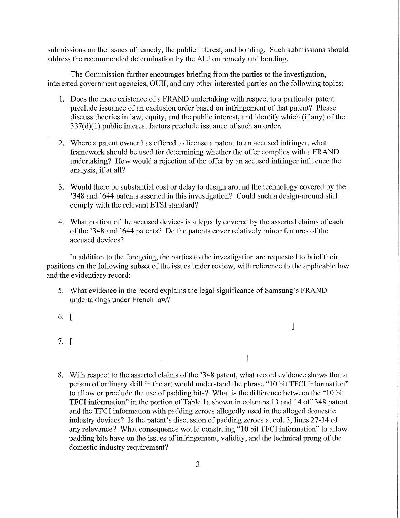submissions on the issues of remedy, the public interest, and bonding. Such submissions should address the recommended determination by the ALJ on remedy and bonding.

The Commission further encourages briefing from the parties to the investigation, interested government agencies, OUII, and any other interested parties on the following topics:

- 1. Does the mere existence of a FRAND undertaking with respect to a particular patent preclude issuance of an exclusion order based on infringement of that patent? Please discuss theories in law, equity, and the public interest, and identify which (if any) of the 337(d)(1) public interest factors preclude issuance of such an order.
- 2. Where a patent owner has offered to license a patent to an accused infringer, what framework should be used for determining whether the offer complies with a FRAND undertaking? How would a rejection of the offer by an accused infringer influence the analysis, if at all?
- 3. Would there be substantial cost or delay to design around the technology covered by the '348 and '644 patents asserted in this investigation? Could such a design-around still comply with the relevant ETSI standard?
- 4. What portion of the accused devices is allegedly covered by the asserted claims of each of the '348 and '644 patents? Do the patents cover relatively minor features of the accused devices?

In addition to the foregoing, the parties to the investigation are requested to brief their positions on the following subset of the issues under review, with reference to the applicable law and the evidentiary record:

- 5. What evidence in the record explains the legal significance of Samsung's FRAND undertakings under French law?
- 6. [
- 7. [
- 8. With respect to the asserted claims of the '348 patent, what record evidence shows that a person of ordinary skill in the art would understand the phrase "10 bit TFCI information" to allow or preclude the use of padding bits? What is the difference between the "10 bit TFCI information" in the portion of Table la shown in columns 13 and 14 of '348 patent and the TFCI information with padding zeroes allegedly used in the alleged domestic industry devices? Is the patent's discussion of padding zeroes at col. 3, lines 27-34 of any relevance? What consequence would construing "10 bit TFCI information" to allow padding bits have on the issues of infringement, validity, and the technical prong of the domestic industry requirement?

]

]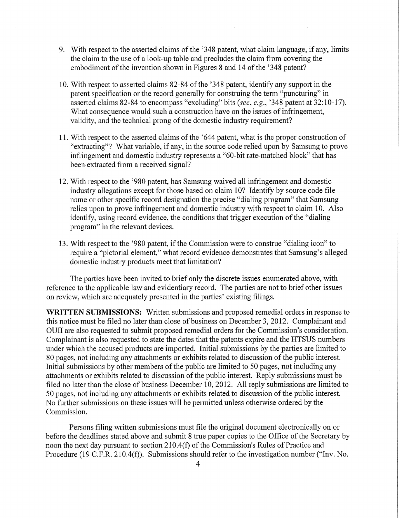- 9. With respect to the asserted claims of the '348 patent, what claim language, if any, limits the claim to the use of a look-up table and precludes the claim from covering the embodiment of the invention shown in Figures 8 and 14 of the '348 patent?
- 10. With respect to asserted claims 82-84 of the '348 patent, identify any support in the patent specification or the record generally for construing the term "puncturing" in asserted claims 82-84 to encompass "excluding" bits *(see, e.g.,* '348 patent at 32:10-17). What consequence would such a construction have on the issues of infringement, validity, and the technical prong of the domestic industry requirement?
- 11. With respect to the asserted claims of the '644 patent, what is the proper construction of "extracting"? What variable, if any, in the source code relied upon by Samsung to prove infringement and domestic industry represents a "60-bit rate-matched block" that has been extracted from a received signal?
- 12. With respect to the '980 patent, has Samsung waived all infringement and domestic industry allegations except for those based on claim 10? Identify by source code file name or other specific record designation the precise "dialing program" that Samsung relies upon to prove infringement and domestic industry with respect to claim 10. Also identify, using record evidence, the conditions that trigger execution of the "dialing program" in the relevant devices.
- 13. With respect to the '980 patent, if the Commission were to construe "dialing icon" to require a "pictorial element," what record evidence demonstrates that Samsung's alleged domestic industry products meet that limitation?

The parties have been invited to brief only the discrete issues enumerated above, with reference to the applicable law and evidentiary record. The parties are not to brief other issues on review, which are adequately presented in the parties' existing filings.

**WRITTEN SUBMISSIONS:** Written submissions and proposed remedial orders in response to this notice must be filed no later than close of business on December 3, 2012. Complainant and OUII are also requested to submit proposed remedial orders for the Commission's consideration. Complainant is also requested to state the dates that the patents expire and the HTSUS numbers under which the accused products are imported. Initial submissions by the parties are limited to 80 pages, not including any attachments or exhibits related to discussion of the public interest. Initial submissions by other members of the public are limited to 50 pages, not including any attachments or exhibits related to discussion of the public interest. Reply submissions must be filed no later than the close of business December 10, 2012. All reply submissions are limited to 50 pages, not including any attachments or exhibits related to discussion of the public interest. No further submissions on these issues will be permitted unless otherwise ordered by the Commission.

Persons filing written submissions must file the original document electronically on or before the deadlines stated above and submit 8 true paper copies to the Office of the Secretary by noon the next day pursuant to section 210.4(f) of the Commission's Rules of Practice and Procedure (19 C.F.R. 210.4(f)). Submissions should refer to the investigation number ("Inv. No.